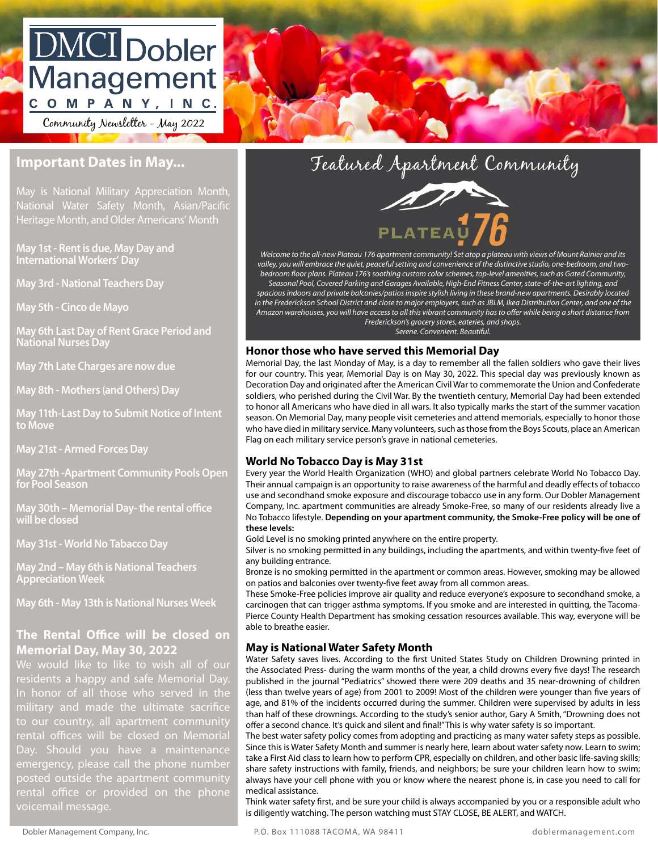# **DMCI** Dobler Management COMPANY, INC.

Community Newsletter - May 2022

# **Important Dates in May...**

May is National Military Appreciation Month, wational Water Barcty Month, Asian/Facine<br>Heritage Month, and Older Americans' Month National Water Safety Month, Asian/Pacific

May 1st - Rent is due, May Day and **William Computer International Workers' Day**

**May 3rd - National Teachers Day** 

has recently a recently of Tacoma Fairness Housing Guide.<br>Amazon war

**May 6th Last Day of Rent Grace Period and National Nurses Day**

Signature: \_\_\_\_\_\_\_\_\_\_\_\_\_\_\_\_\_\_\_\_\_\_\_\_\_\_\_\_\_\_\_\_\_\_\_\_\_\_\_\_\_\_\_\_\_\_\_\_\_\_ **May 7th Late Charges are now due**

**Date: May 8th - Mothers (and Others) Day** 

Return to Move as soon as soon as possible. The contract of the contract of the contract of the contract of the contract of the contract of the contract of the contract of the contract of the contract of the contract of th **May 11th-Last Day to Submit Notice of Intent to Move**

**May 21st - Armed Forces Day**

**May 27th -Apartment Community Pools Open for Pool Season**

**May 30th – Memorial Day- the rental office will be closed**

**May 31st - World No Tabacco Day**

**May 2nd – May 6th is National Teachers Appreciation Week**

**May 6th - May 13th is National Nurses Week**

# **The Rental Office will be closed on Memorial Day, May 30, 2022**

residents a happy and safe Memorial Day. military and made the ultimate sacrifice to our country, all apartment community rental offices will be closed on Memorial Day. Should you have a maintenance emergency, please call the phone number posted outside the apartment community rental office or provided on the phone voicemail message.





Property and the contract of the contract of the contract of the contract of the contract of the contract of t<br>Pedroom floor r *Welcome to the all-new Plateau 176 apartment community! Set atop a plateau with views of Mount Rainier and its valley, you will embrace the quiet, peaceful setting and convenience of the distinctive studio, one-bedroom, and twobedroom floor plans. Plateau 176's soothing custom color schemes, top-level amenities, such as Gated Community, Seasonal Pool, Covered Parking and Garages Available, High-End Fitness Center, state-of-the-art lighting, and spacious indoors and private balconies/patios inspire stylish living in these brand-new apartments. Desirably located in the Frederickson School District and close to major employers, such as JBLM, Ikea Distribution Center, and one of the Amazon warehouses, you will have access to all this vibrant community has to offer while being a short distance from Frederickson's grocery stores, eateries, and shops. Serene. Convenient. Beautiful.*

### **Honor those who have served this Memorial Day**

Memorial Day, the last Monday of May, is a day to remember all the fallen soldiers who gave their lives for our country. This year, Memorial Day is on May 30, 2022. This special day was previously known as Decoration Day and originated after the American Civil War to commemorate the Union and Confederate soldiers, who perished during the Civil War. By the twentieth century, Memorial Day had been extended to honor all Americans who have died in all wars. It also typically marks the start of the summer vacation season. On Memorial Day, many people visit cemeteries and attend memorials, especially to honor those who have died in military service. Many volunteers, such as those from the Boys Scouts, place an American Flag on each military service person's grave in national cemeteries.

## **World No Tobacco Day is May 31st**

Every year the World Health Organization (WHO) and global partners celebrate World No Tobacco Day. Their annual campaign is an opportunity to raise awareness of the harmful and deadly effects of tobacco use and secondhand smoke exposure and discourage tobacco use in any form. Our Dobler Management Company, Inc. apartment communities are already Smoke-Free, so many of our residents already live a No Tobacco lifestyle. **Depending on your apartment community, the Smoke-Free policy will be one of these levels:**

Gold Level is no smoking printed anywhere on the entire property.

Silver is no smoking permitted in any buildings, including the apartments, and within twenty-five feet of any building entrance.

Bronze is no smoking permitted in the apartment or common areas. However, smoking may be allowed on patios and balconies over twenty-five feet away from all common areas.

These Smoke-Free policies improve air quality and reduce everyone's exposure to secondhand smoke, a carcinogen that can trigger asthma symptoms. If you smoke and are interested in quitting, the Tacoma-Pierce County Health Department has smoking cessation resources available. This way, everyone will be able to breathe easier.

# **May is National Water Safety Month**

Water Safety saves lives. According to the first United States Study on Children Drowning printed in the Associated Press- during the warm months of the year, a child drowns every five days! The research published in the journal "Pediatrics" showed there were 209 deaths and 35 near-drowning of children (less than twelve years of age) from 2001 to 2009! Most of the children were younger than five years of age, and 81% of the incidents occurred during the summer. Children were supervised by adults in less than half of these drownings. According to the study's senior author, Gary A Smith, "Drowning does not offer a second chance. It's quick and silent and final!" This is why water safety is so important.

The best water safety policy comes from adopting and practicing as many water safety steps as possible. Since this is Water Safety Month and summer is nearly here, learn about water safety now. Learn to swim; take a First Aid class to learn how to perform CPR, especially on children, and other basic life-saving skills; share safety instructions with family, friends, and neighbors; be sure your children learn how to swim; always have your cell phone with you or know where the nearest phone is, in case you need to call for medical assistance.

Think water safety first, and be sure your child is always accompanied by you or a responsible adult who is diligently watching. The person watching must STAY CLOSE, BE ALERT, and WATCH.